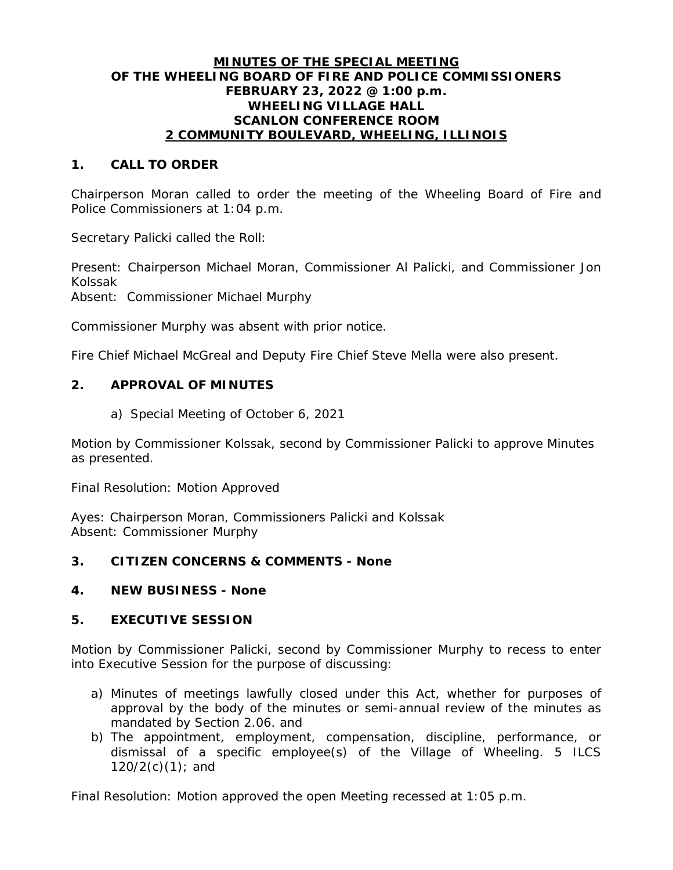## **MINUTES OF THE SPECIAL MEETING OF THE WHEELING BOARD OF FIRE AND POLICE COMMISSIONERS FEBRUARY 23, 2022 @ 1:00 p.m. WHEELING VILLAGE HALL SCANLON CONFERENCE ROOM 2 COMMUNITY BOULEVARD, WHEELING, ILLINOIS**

## **1. CALL TO ORDER**

Chairperson Moran called to order the meeting of the Wheeling Board of Fire and Police Commissioners at 1:04 p.m.

Secretary Palicki called the Roll:

Present: Chairperson Michael Moran, Commissioner Al Palicki, and Commissioner Jon Kolssak

Absent: Commissioner Michael Murphy

Commissioner Murphy was absent with prior notice.

Fire Chief Michael McGreal and Deputy Fire Chief Steve Mella were also present.

### **2. APPROVAL OF MINUTES**

a) Special Meeting of October 6, 2021

Motion by Commissioner Kolssak, second by Commissioner Palicki to approve Minutes as presented.

Final Resolution: Motion Approved

Ayes: Chairperson Moran, Commissioners Palicki and Kolssak Absent: Commissioner Murphy

## **3. CITIZEN CONCERNS & COMMENTS - None**

#### **4. NEW BUSINESS - None**

### **5. EXECUTIVE SESSION**

Motion by Commissioner Palicki, second by Commissioner Murphy to recess to enter into Executive Session for the purpose of discussing:

- a) Minutes of meetings lawfully closed under this Act, whether for purposes of approval by the body of the minutes or semi-annual review of the minutes as mandated by Section 2.06. and
- b) The appointment, employment, compensation, discipline, performance, or dismissal of a specific employee(s) of the Village of Wheeling. 5 ILCS  $120/2(c)(1)$ ; and

Final Resolution: Motion approved the open Meeting recessed at 1:05 p.m.